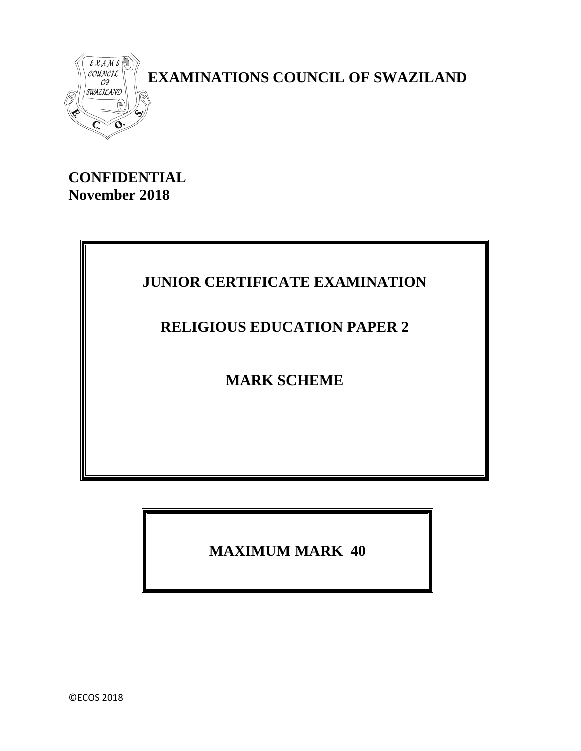

 **EXAMINATIONS COUNCIL OF SWAZILAND**

**CONFIDENTIAL November 2018**

# **JUNIOR CERTIFICATE EXAMINATION**

## **RELIGIOUS EDUCATION PAPER 2**

**MARK SCHEME**

**MAXIMUM MARK 40**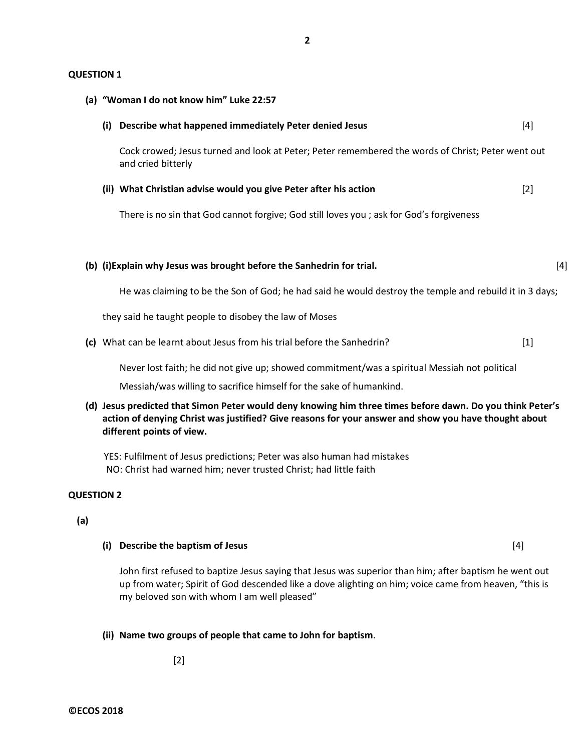#### **QUESTION 1**

| (a) "Woman I do not know him" Luke 22:57 |                                                                                                                                                                                                                                                |       |  |  |
|------------------------------------------|------------------------------------------------------------------------------------------------------------------------------------------------------------------------------------------------------------------------------------------------|-------|--|--|
| (i)                                      | Describe what happened immediately Peter denied Jesus                                                                                                                                                                                          | [4]   |  |  |
|                                          | Cock crowed; Jesus turned and look at Peter; Peter remembered the words of Christ; Peter went out<br>and cried bitterly                                                                                                                        |       |  |  |
|                                          | (ii) What Christian advise would you give Peter after his action                                                                                                                                                                               | $[2]$ |  |  |
|                                          | There is no sin that God cannot forgive; God still loves you ; ask for God's forgiveness                                                                                                                                                       |       |  |  |
|                                          |                                                                                                                                                                                                                                                |       |  |  |
|                                          | (b) (i) Explain why Jesus was brought before the Sanhedrin for trial.                                                                                                                                                                          | $[4]$ |  |  |
|                                          | He was claiming to be the Son of God; he had said he would destroy the temple and rebuild it in 3 days;                                                                                                                                        |       |  |  |
|                                          | they said he taught people to disobey the law of Moses                                                                                                                                                                                         |       |  |  |
|                                          | (c) What can be learnt about Jesus from his trial before the Sanhedrin?                                                                                                                                                                        | $[1]$ |  |  |
|                                          | Never lost faith; he did not give up; showed commitment/was a spiritual Messiah not political                                                                                                                                                  |       |  |  |
|                                          | Messiah/was willing to sacrifice himself for the sake of humankind.                                                                                                                                                                            |       |  |  |
|                                          | (d) Jesus predicted that Simon Peter would deny knowing him three times before dawn. Do you think Peter's<br>action of denying Christ was justified? Give reasons for your answer and show you have thought about<br>different points of view. |       |  |  |

 YES: Fulfilment of Jesus predictions; Peter was also human had mistakes NO: Christ had warned him; never trusted Christ; had little faith

### **QUESTION 2**

**(a)**

### **(i) Describe the baptism of Jesus** [4]

John first refused to baptize Jesus saying that Jesus was superior than him; after baptism he went out up from water; Spirit of God descended like a dove alighting on him; voice came from heaven, "this is my beloved son with whom I am well pleased"

#### **(ii) Name two groups of people that came to John for baptism**.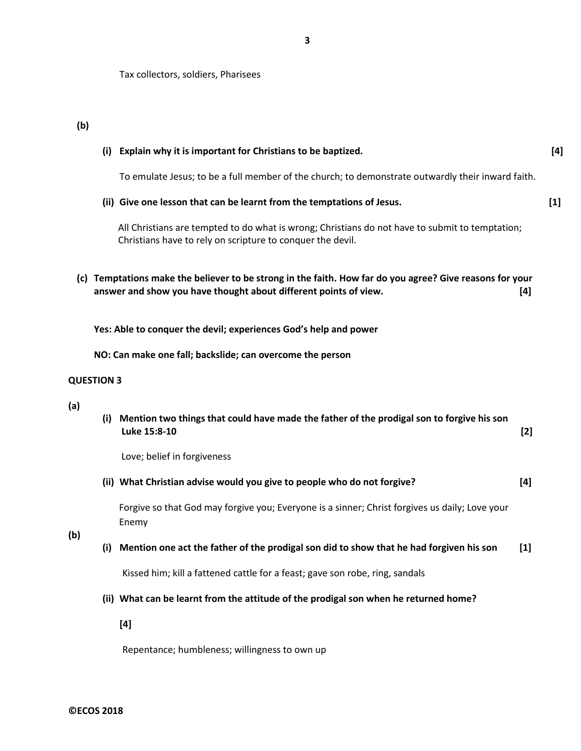Tax collectors, soldiers, Pharisees

**(b)**

|     |                   | (i) Explain why it is important for Christians to be baptized.                                                                                                               | $[4]$ |
|-----|-------------------|------------------------------------------------------------------------------------------------------------------------------------------------------------------------------|-------|
|     |                   | To emulate Jesus; to be a full member of the church; to demonstrate outwardly their inward faith.                                                                            |       |
|     |                   | (ii) Give one lesson that can be learnt from the temptations of Jesus.                                                                                                       | $[1]$ |
|     |                   | All Christians are tempted to do what is wrong; Christians do not have to submit to temptation;<br>Christians have to rely on scripture to conquer the devil.                |       |
|     |                   | (c) Temptations make the believer to be strong in the faith. How far do you agree? Give reasons for your<br>answer and show you have thought about different points of view. | [4]   |
|     |                   | Yes: Able to conquer the devil; experiences God's help and power                                                                                                             |       |
|     |                   | NO: Can make one fall; backslide; can overcome the person                                                                                                                    |       |
|     | <b>QUESTION 3</b> |                                                                                                                                                                              |       |
| (a) |                   | (i) Mention two things that could have made the father of the prodigal son to forgive his son<br>Luke 15:8-10                                                                | $[2]$ |
|     |                   | Love; belief in forgiveness                                                                                                                                                  |       |
|     |                   | (ii) What Christian advise would you give to people who do not forgive?                                                                                                      | $[4]$ |
|     |                   | Forgive so that God may forgive you; Everyone is a sinner; Christ forgives us daily; Love your<br>Enemy                                                                      |       |
| (b) | (i)               | Mention one act the father of the prodigal son did to show that he had forgiven his son                                                                                      | $[1]$ |
|     |                   | Kissed him; kill a fattened cattle for a feast; gave son robe, ring, sandals                                                                                                 |       |
|     |                   | (ii) What can be learnt from the attitude of the prodigal son when he returned home?                                                                                         |       |
|     |                   | $[4]$                                                                                                                                                                        |       |

Repentance; humbleness; willingness to own up